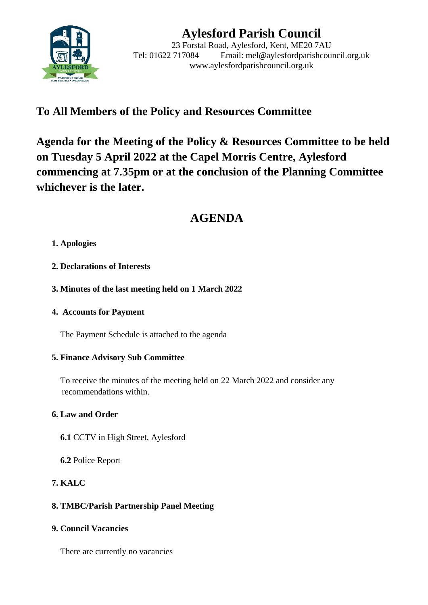

# **Aylesford Parish Council**

23 Forstal Road, Aylesford, Kent, ME20 7AU Tel: 01622 717084 Email: mel@aylesfordparishcouncil.org.uk www.aylesfordparishcouncil.org.uk

## **To All Members of the Policy and Resources Committee**

**Agenda for the Meeting of the Policy & Resources Committee to be held on Tuesday 5 April 2022 at the Capel Morris Centre, Aylesford commencing at 7.35pm or at the conclusion of the Planning Committee whichever is the later.**

## **AGENDA**

### **1. Apologies**

- **2. Declarations of Interests**
- **3. Minutes of the last meeting held on 1 March 2022**
- **4. Accounts for Payment**

The Payment Schedule is attached to the agenda

#### **5. Finance Advisory Sub Committee**

 To receive the minutes of the meeting held on 22 March 2022 and consider any recommendations within.

## **6. Law and Order**

- **6.1** CCTV in High Street, Aylesford
- **6.2** Police Report

## **7. KALC**

## **8. TMBC/Parish Partnership Panel Meeting**

#### **9. Council Vacancies**

There are currently no vacancies